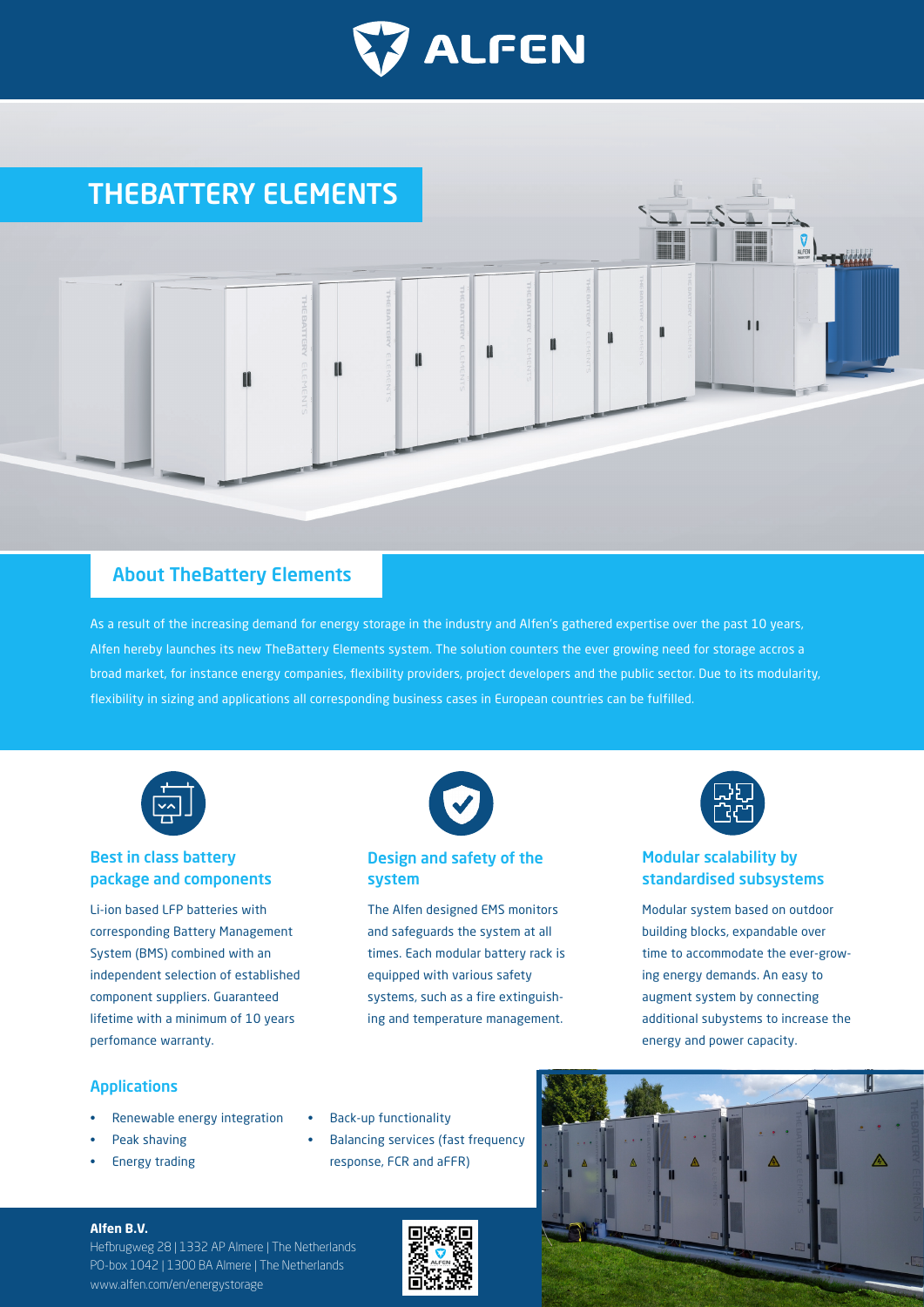

# THEBATTERY ELEMENTS

## About TheBattery Elements

As a result of the increasing demand for energy storage in the industry and Alfen's gathered expertise over the past 10 years, Alfen hereby launches its new TheBattery Elements system. The solution counters the ever growing need for storage accros a broad market, for instance energy companies, flexibility providers, project developers and the public sector. Due to its modularity, flexibility in sizing and applications all corresponding business cases in European countries can be fulfilled.



## Best in class battery package and components

Li-ion based LFP batteries with corresponding Battery Management System (BMS) combined with an independent selection of established component suppliers. Guaranteed lifetime with a minimum of 10 years perfomance warranty.



## Design and safety of the system

The Alfen designed EMS monitors and safeguards the system at all times. Each modular battery rack is equipped with various safety systems, such as a fire extinguishing and temperature management.



E

 $\mathbf{1}$ 

 $\begin{picture}(20,10) \put(0,0){\line(1,0){10}} \put(15,0){\line(1,0){10}} \put(15,0){\line(1,0){10}} \put(15,0){\line(1,0){10}} \put(15,0){\line(1,0){10}} \put(15,0){\line(1,0){10}} \put(15,0){\line(1,0){10}} \put(15,0){\line(1,0){10}} \put(15,0){\line(1,0){10}} \put(15,0){\line(1,0){10}} \put(15,0){\line(1,0){10}} \put(15,0){\line(1$ 

U

**HALL** 

▀

ń

## Modular scalability by standardised subsystems

Modular system based on outdoor building blocks, expandable over time to accommodate the ever-growing energy demands. An easy to augment system by connecting additional subystems to increase the energy and power capacity.

### Applications

- Renewable energy integration
- Peak shaving
- Energy trading
- Back-up functionality
- Balancing services (fast frequency response, FCR and aFFR)



#### **Alfen B.V.**

Hefbrugweg 28 | 1332 AP Almere | The Netherlands PO-box 1042 | 1300 BA Almere | The Netherlands www.alfen.com/en/energystorage